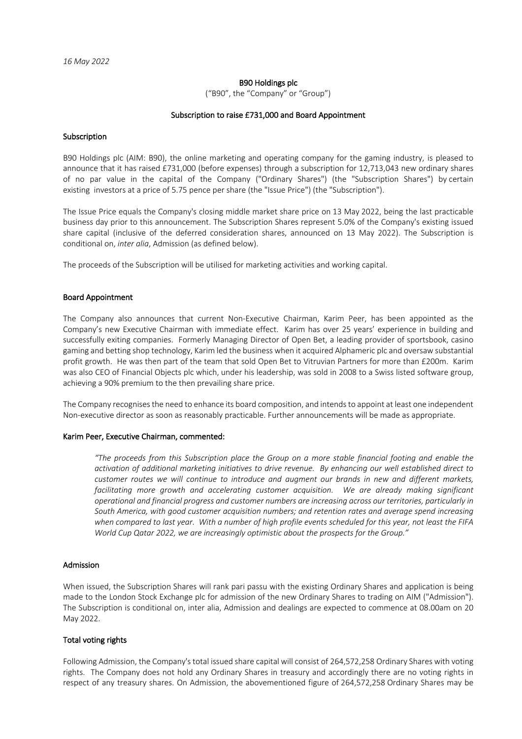### B90 Holdings plc

("B90", the "Company" or "Group")

#### Subscription to raise £731,000 and Board Appointment

#### Subscription

B90 Holdings plc (AIM: B90), the online marketing and operating company for the gaming industry, is pleased to announce that it has raised £731,000 (before expenses) through a subscription for 12,713,043 new ordinary shares of no par value in the capital of the Company ("Ordinary Shares") (the "Subscription Shares") by certain existing investors at a price of 5.75 pence per share (the "Issue Price") (the "Subscription").

The Issue Price equals the Company's closing middle market share price on 13 May 2022, being the last practicable business day prior to this announcement. The Subscription Shares represent 5.0% of the Company's existing issued share capital (inclusive of the deferred consideration shares, announced on 13 May 2022). The Subscription is conditional on, *inter alia*, Admission (as defined below).

The proceeds of the Subscription will be utilised for marketing activities and working capital.

#### Board Appointment

The Company also announces that current Non-Executive Chairman, Karim Peer, has been appointed as the Company's new Executive Chairman with immediate effect. Karim has over 25 years' experience in building and successfully exiting companies. Formerly Managing Director of Open Bet, a leading provider of sportsbook, casino gaming and betting shop technology, Karim led the business when it acquired Alphameric plc and oversaw substantial profit growth. He was then part of the team that sold Open Bet to Vitruvian Partners for more than £200m. Karim was also CEO of Financial Objects plc which, under his leadership, was sold in 2008 to a Swiss listed software group, achieving a 90% premium to the then prevailing share price.

The Company recognisesthe need to enhance its board composition, and intends to appoint at least one independent Non-executive director as soon as reasonably practicable. Further announcements will be made as appropriate.

## Karim Peer, Executive Chairman, commented:

*"The proceeds from this Subscription place the Group on a more stable financial footing and enable the activation of additional marketing initiatives to drive revenue. By enhancing our well established direct to customer routes we will continue to introduce and augment our brands in new and different markets,*  facilitating more growth and accelerating customer acquisition. We are already making significant *operational and financial progress and customer numbers are increasing across our territories, particularly in South America, with good customer acquisition numbers; and retention rates and average spend increasing when compared to last year. With a number of high profile events scheduled for this year, not least the FIFA World Cup Qatar 2022, we are increasingly optimistic about the prospects for the Group."*

#### Admission

When issued, the Subscription Shares will rank pari passu with the existing Ordinary Shares and application is being made to the London Stock Exchange plc for admission of the new Ordinary Shares to trading on AIM ("Admission"). The Subscription is conditional on, inter alia, Admission and dealings are expected to commence at 08.00am on 20 May 2022.

### Total voting rights

Following Admission, the Company's total issued share capital will consist of 264,572,258 Ordinary Shares with voting rights. The Company does not hold any Ordinary Shares in treasury and accordingly there are no voting rights in respect of any treasury shares. On Admission, the abovementioned figure of 264,572,258 Ordinary Shares may be